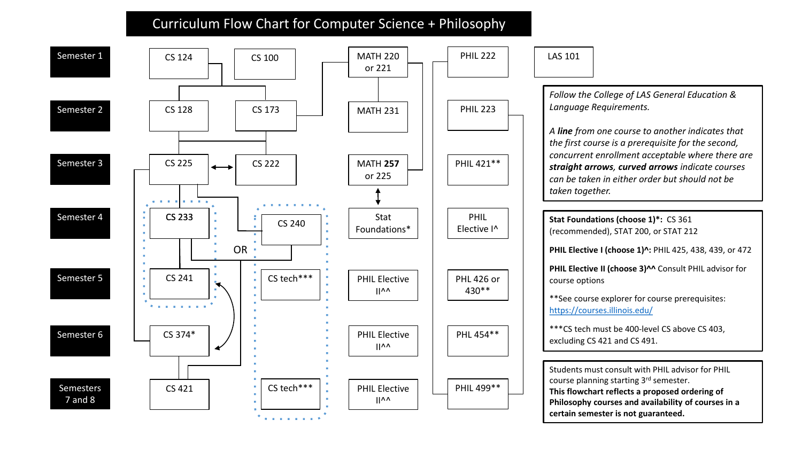## Curriculum Flow Chart for Computer Science + Philosophy